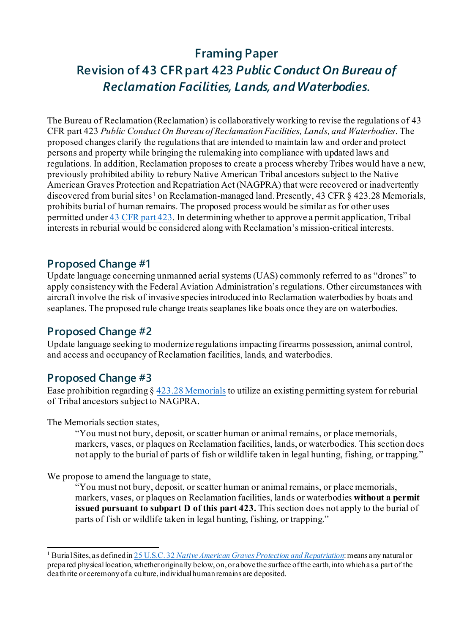# **Framing Paper Revision of 43 CFR part 423** *Public [Conduct On Bureau of](https://www.govinfo.gov/app/details/CFR-2011-title43-vol1/CFR-2011-title43-vol1-part423)  [Reclamation Facilities, Lands, and Waterbodies](https://www.govinfo.gov/app/details/CFR-2011-title43-vol1/CFR-2011-title43-vol1-part423)***.**

The Bureau of Reclamation (Reclamation) is collaboratively working to revise the regulations of [43](https://www.govinfo.gov/app/details/CFR-2011-title43-vol1/CFR-2011-title43-vol1-part423)  CFR part 423 *Public Conduct On Bureau of [Reclamation Facilities, Lands,](https://www.govinfo.gov/app/details/CFR-2011-title43-vol1/CFR-2011-title43-vol1-part423) and Waterbodies*. The proposed changes clarify the regulations that are intended to maintain law and order and protect persons and property while bringing the rulemaking into compliance with updated laws and regulations. In addition, Reclamation proposes to create a process whereby Tribes would have a new, previously prohibited ability to rebury Native American Tribal ancestors subject to the Native American Graves Protection and Repatriation Act (NAGPRA) that were recovered or inadvertently discovered from burial sites [1](#page-0-0) on Reclamation-managed land. Presently, 43 CFR § 423.28 Memorials, prohibits burial of human remains. The proposed process would be similar as for other uses permitted under [43 CFR part 423](https://www.govinfo.gov/app/details/CFR-2011-title43-vol1/CFR-2011-title43-vol1-part423). In determining whether to approve a permit application, Tribal interests in reburial would be considered along with Reclamation's mission-critical interests.

### **Proposed Change #1**

Update language concerning unmanned aerial systems (UAS) commonly referred to as "drones" to apply consistency with the Federal Aviation Administration's regulations. Other circumstances with aircraft involve the risk of invasive species introduced into Reclamation waterbodies by boats and seaplanes. The proposed rule change treats seaplanes like boats once they are on waterbodies.

# **Proposed Change #2**

Update language seeking to modernize regulations impacting firearms possession, animal control, and access and occupancy of Reclamation facilities, lands, and waterbodies.

# **Proposed Change #3**

Ease prohibition regarding [§ 423.28 Memorials](https://www.govinfo.gov/content/pkg/CFR-2011-title43-vol1/xml/CFR-2011-title43-vol1-part423.xml#seqnum423.28) to utilize an existing permitting system for reburial of Tribal ancestors subject to NAGPRA.

The Memorials section states,

"You must not bury, deposit, or scatter human or animal remains, or place memorials, markers, vases, or plaques on Reclamation facilities, lands, or waterbodies. This section does not apply to the burial of parts of fish or wildlife taken in legal hunting, fishing, or trapping."

We propose to amend the language to state,

"You must not bury, deposit, or scatter human or animal remains, or place memorials, markers, vases, or plaques on Reclamation facilities, lands or waterbodies **without a permit issued pursuant to subpart D of this part 423.** This section does not apply to the burial of parts of fish or wildlife taken in legal hunting, fishing, or trapping."

<span id="page-0-0"></span><sup>1</sup> Burial Sites, as defined in 25 U.S.C. 32 *[Native American Graves Protection and Repatriation](https://uscode.house.gov/view.xhtml?path=/prelim@title25/chapter32&edition=prelim)*: means any natural or prepared physical location, whether originally below, on, or above the surface of the earth, into which as a part of the death rite or ceremony of a culture, individual human remains are deposited.